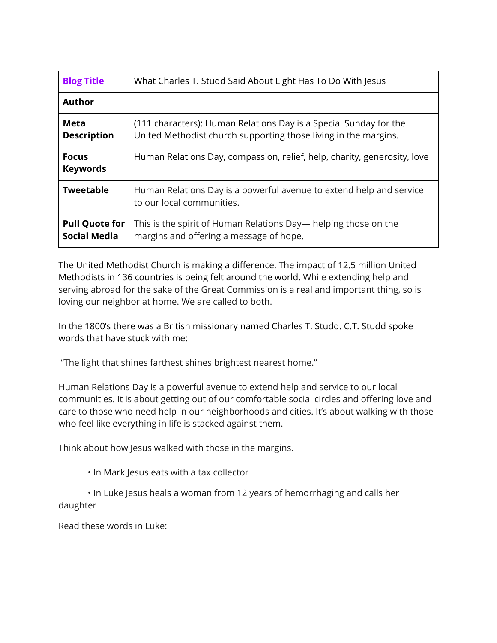| <b>Blog Title</b>                            | What Charles T. Studd Said About Light Has To Do With Jesus                                                                          |
|----------------------------------------------|--------------------------------------------------------------------------------------------------------------------------------------|
| <b>Author</b>                                |                                                                                                                                      |
| Meta<br><b>Description</b>                   | (111 characters): Human Relations Day is a Special Sunday for the<br>United Methodist church supporting those living in the margins. |
| <b>Focus</b><br><b>Keywords</b>              | Human Relations Day, compassion, relief, help, charity, generosity, love                                                             |
| <b>Tweetable</b>                             | Human Relations Day is a powerful avenue to extend help and service<br>to our local communities.                                     |
| <b>Pull Quote for</b><br><b>Social Media</b> | This is the spirit of Human Relations Day— helping those on the<br>margins and offering a message of hope.                           |

The United Methodist Church is making a difference. The impact of 12.5 million United Methodists in 136 countries is being felt around the world. While extending help and serving abroad for the sake of the Great Commission is a real and important thing, so is loving our neighbor at home. We are called to both.

In the 1800's there was a British missionary named Charles T. Studd. C.T. Studd spoke words that have stuck with me:

"The light that shines farthest shines brightest nearest home."

Human Relations Day is a powerful avenue to extend help and service to our local communities. It is about getting out of our comfortable social circles and offering love and care to those who need help in our neighborhoods and cities. It's about walking with those who feel like everything in life is stacked against them.

Think about how Jesus walked with those in the margins.

• In Mark Jesus eats with a tax collector

• In Luke Jesus heals a woman from 12 years of hemorrhaging and calls her daughter

Read these words in Luke: